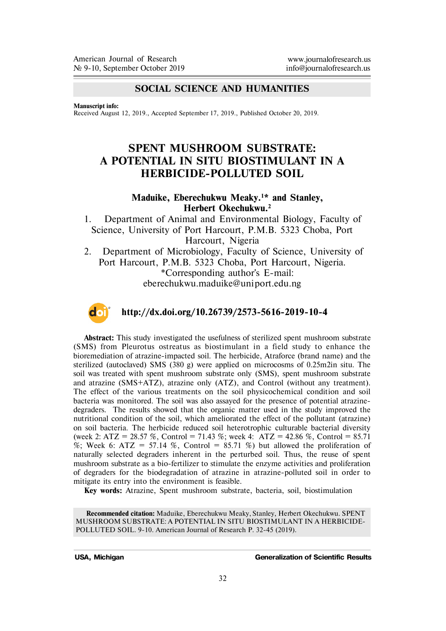### **SOCIAL SCIENCE AND HUMANITIES**

**Manuscript info:**

Received August 12, 2019., Accepted September 17, 2019., Published October 20, 2019.

# **SPENT MUSHROOM SUBSTRATE: A POTENTIAL IN SITU BIOSTIMULANT IN A HERBICIDE-POLLUTED SOIL**

#### **Maduike, Eberechukwu Meaky.<sup>1</sup>\* and Stanley, Herbert Okechukwu.<sup>2</sup>**

1. Department of Animal and Environmental Biology, Faculty of Science, University of Port Harcourt, P.M.B. 5323 Choba, Port Harcourt, Nigeria

2. Department of Microbiology, Faculty of Science, University of Port Harcourt, P.M.B. 5323 Choba, Port Harcourt, Nigeria. \*Corresponding author's E-mail: eberechukwu.maduike@uniport.edu.ng



#### **http://dx.doi.org/10.26739/2573-5616-2019-10-4**

**Abstract:** This study investigated the usefulness of sterilized spent mushroom substrate (SMS) from Pleurotus ostreatus as biostimulant in a field study to enhance the bioremediation of atrazine-impacted soil. The herbicide, Atraforce (brand name) and the sterilized (autoclaved) SMS (380 g) were applied on microcosms of 0.25m2in situ. The soil was treated with spent mushroom substrate only (SMS), spent mushroom substrate and atrazine (SMS+ATZ), atrazine only (ATZ), and Control (without any treatment). The effect of the various treatments on the soil physicochemical condition and soil bacteria was monitored. The soil was also assayed for the presence of potential atrazinedegraders. The results showed that the organic matter used in the study improved the nutritional condition of the soil, which ameliorated the effect of the pollutant (atrazine) on soil bacteria. The herbicide reduced soil heterotrophic culturable bacterial diversity (week 2: ATZ = 28.57 %, Control = 71.43 %; week 4: ATZ = 42.86 %, Control = 85.71 %; Week 6: ATZ = 57.14 %, Control = 85.71 %) but allowed the proliferation of naturally selected degraders inherent in the perturbed soil. Thus, the reuse of spent mushroom substrate as a bio-fertilizer to stimulate the enzyme activities and proliferation of degraders for the biodegradation of atrazine in atrazine-polluted soil in order to mitigate its entry into the environment is feasible.

**Key words:** Atrazine, Spent mushroom substrate, bacteria, soil, biostimulation

**Recommended citation:** Maduike, Eberechukwu Meaky, Stanley, Herbert Okechukwu. SPENT MUSHROOM SUBSTRATE: A POTENTIAL IN SITU BIOSTIMULANT IN A HERBICIDE-POLLUTED SOIL. 9-10. American Journal of Research P. 32-45 (2019).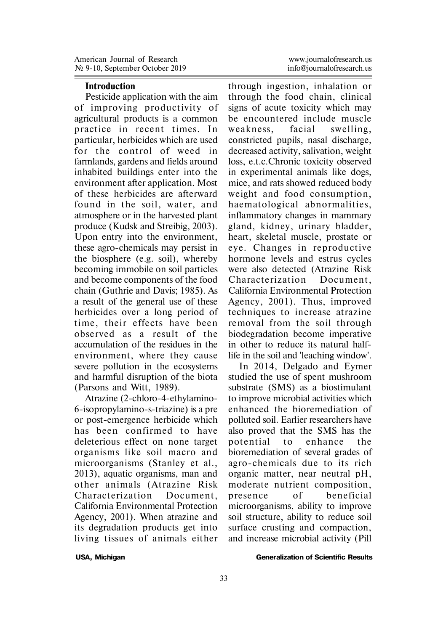#### **Introduction**

Pesticide application with the aim of improving productivity of agricultural products is a common practice in recent times. In particular, herbicides which are used for the control of weed in farmlands, gardens and fields around inhabited buildings enter into the environment after application. Most of these herbicides are afterward found in the soil, water, and atmosphere or in the harvested plant produce (Kudsk and Streibig, 2003). Upon entry into the environment, these agro-chemicals may persist in the biosphere (e.g. soil), whereby becoming immobile on soil particles and become components of the food chain (Guthrie and Davis; 1985). As a result of the general use of these herbicides over a long period of time, their effects have been observed as a result of the accumulation of the residues in the environment, where they cause severe pollution in the ecosystems and harmful disruption of the biota (Parsons and Witt, 1989).

Atrazine (2-chloro-4-ethylamino-6-isopropylamino-s-triazine) is a pre or post-emergence herbicide which has been con firmed to have deleterious effect on none target organisms like soil macro and microorganisms (Stanley et al., 2013), aquatic organisms, man and other animals (Atrazine Risk Characterization Document California Environmental Protection Agency, 2001). When atrazine and its degradation products get into living tissues of animals either

through ingestion, inhalation or through the food chain, clinical signs of acute toxicity which may be encountered include muscle weakness, facial swelling, constricted pupils, nasal discharge, decreased activity, salivation, weight loss, e.t.c.Chronic toxicity observed in experimental animals like dogs, mice, and rats showed reduced body weight and food consumption, haematological abnormalities, inflammatory changes in mammary gland, kidney, urinary bladder, heart, skeletal muscle, prostate or eve. Changes in reproductive hormone levels and estrus cycles were also detected (Atrazine Risk Characterization Document California Environmental Protection Agency, 2001). Thus, improved techniques to increase atrazine removal from the soil through biodegradation become imperative in other to reduce its natural halflife in the soil and 'leaching window'.

In 2014, Delgado and Eymer studied the use of spent mushroom substrate (SMS) as a biostimulant to improve microbial activities which enhanced the bioremediation of polluted soil. Earlier researchers have also proved that the SMS has the potential to enhance the bioremediation of several grades of agro-chemicals due to its rich organic matter, near neutral pH, moderate nutrient composition, presence of beneficial microorganisms, ability to improve soil structure, ability to reduce soil surface crusting and compaction, and increase microbial activity (Pill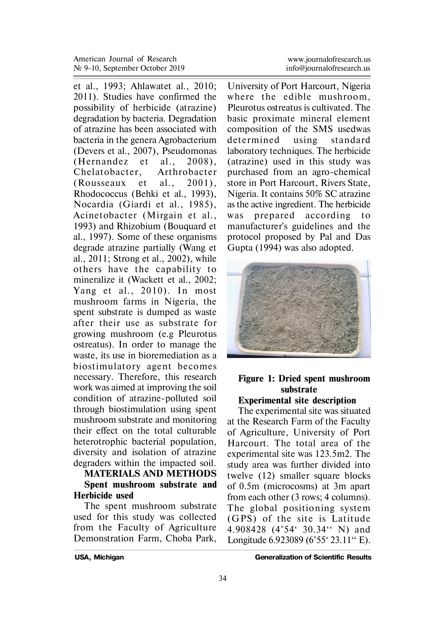et al., 1993; Ahlawatet al., 2010; 2011). Studies have confirmed the possibility of herbicide (atrazine) degradation by bacteria. Degradation of atrazine has been associated with bacteria in the genera Agrobacterium (Devers et al., 2007), Pseudomonas  $(Hernander et al., 2008).$ Chelatobacter, Arthrobacter  $(Rousesaux et al., 2001).$ Rhodococcus (Behki et al., 1993), Nocardia (Giardi et al., 1985), Acinetobacter (Mirgain et al. , 1993) and Rhizobium (Bouquard et al., 1997). Some of these organisms degrade atrazine partially (Wang et al., 2011; Strong et al., 2002), while others have the capability to mineralize it (Wackett et al., 2002; Yang et al., 2010). In most mushroom farms in Nigeria, the spent substrate is dumped as waste after their use as substrate for growing mushroom (e.g Pleurotus ostreatus). In order to manage the waste, its use in bioremediation as a biostimulatory agent becomes necessary. Therefore, this research work was aimed at improving the soil condition of atrazine-polluted soil through biostimulation using spent mushroom substrate and monitoring their effect on the total culturable heterotrophic bacterial population, diversity and isolation of atrazine degraders within the impacted soil.

#### **MATERIALS AND METHODS Spent mushroom substrate and Herbicide used**

The spent mushroom substrate used for this study was collected from the Faculty of Agriculture Demonstration Farm, Choba Park,

University of Port Harcourt, Nigeria where the edible mushroom Pleurotus ostreatus is cultivated. The basic proximate mineral element composition of the SMS usedwas determined using standard laboratory techniques. The herbicide (atrazine) used in this study was purchased from an agro-chemical store in Port Harcourt, Rivers State, Nigeria. It contains 50% SC atrazine as the active ingredient. The herbicide was p repared according to manufacturer's guidelines and the protocol proposed by Pal and Das Gupta (1994) was also adopted.



# **Figure 1: Dried spent mushroom substrate**

## **Experimental site description**

The experimental site was situated at the Research Farm of the Faculty of Agriculture, University of Port Harcourt. The total area of the experimental site was 123.5m2. The study area was further divided into twelve (12) smaller square blocks of 0.5m (microcosms) at 3m apart from each other (3 rows; 4 columns). The global positioning system (GPS) of the site is Latitude 4.908428 (4°54' 30.34'' N) and Longitude 6.923089 (6°55' 23.11'' E).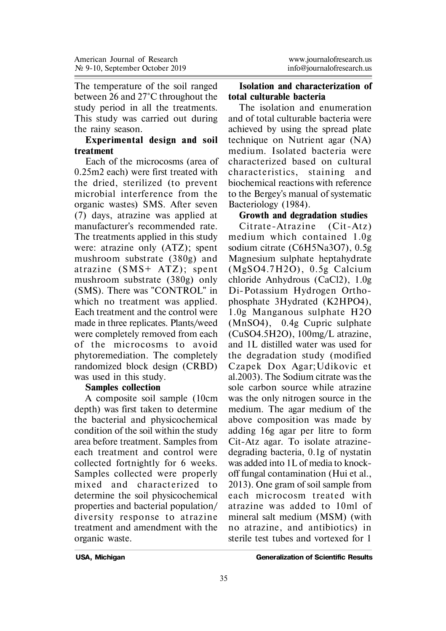The temperature of the soil ranged between 26 and 27°C throughout the study period in all the treatments. This study was carried out during the rainy season.

### **Experimental design and soil treatment**

Each of the microcosms (area of 0.25m2 each) were first treated with the dried, sterilized (to prevent microbial interference from the organic wastes) SMS. After seven (7) days, atrazine was applied at manufacturer's recommended rate. The treatments applied in this study were: atrazine only (ATZ); spent mushroom substrate (380g) and atrazine  $(SMS+ATZ)$ ; spent mushroom substrate (380g) only (SMS). There was "CONTROL" in which no treatment was applied. Each treatment and the control were made in three replicates. Plants/weed were completely removed from each of the microcosms to avoid phytoremediation. The completely randomized block design (CRBD) was used in this study.

#### **Samples collection**

A composite soil sample (10cm depth) was first taken to determine the bacterial and physicochemical condition of the soil within the study area before treatment. Samples from each treatment and control were collected fortnightly for 6 weeks. Samples collected were properly mixed and characterized to determine the soil physicochemical properties and bacterial population/ diversity response to atrazine treatment and amendment with the organic waste.

#### **Isolation and characterization of total culturable bacteria**

The isolation and enumeration and of total culturable bacteria were achieved by using the spread plate technique on Nutrient agar (NA) medium. Isolated bacteria were characterized based on cultural characteristics, staining and biochemical reactions with reference to the Bergey's manual of systematic Bacteriology (1984).

## **Growth and degradation studies**

Citrate-Atrazine (Cit-Atz) medium which contained 1.0g sodium citrate (C6H5Na3O7), 0.5g Magnesium sulphate heptahydrate (MgSO4.7H2O) , 0.5g Calcium chloride Anhydrous (CaCl2), 1.0g Di-Potassium Hydrogen Orthophosphate 3Hydrated (K2HPO4), 1.0g Manganous sulphate H2O (MnSO4), 0.4g Cupric sulphate (CuSO4.5H2O), 100mg/L atrazine, and 1L distilled water was used for the degradation study (modified Czapek Dox Agar;Udikovic et al.2003). The Sodium citrate was the sole carbon source while atrazine was the only nitrogen source in the medium. The agar medium of the above composition was made by adding 16g agar per litre to form Cit-Atz agar. To isolate atrazinedegrading bacteria, 0.1g of nystatin was added into 1L of media to knockoff fungal contamination (Hui et al., 2013). One gram of soil sample from each microcosm treated with atrazine was added to 10ml of mineral salt medium (MSM) (with no atrazine, and antibiotics) in sterile test tubes and vortexed for 1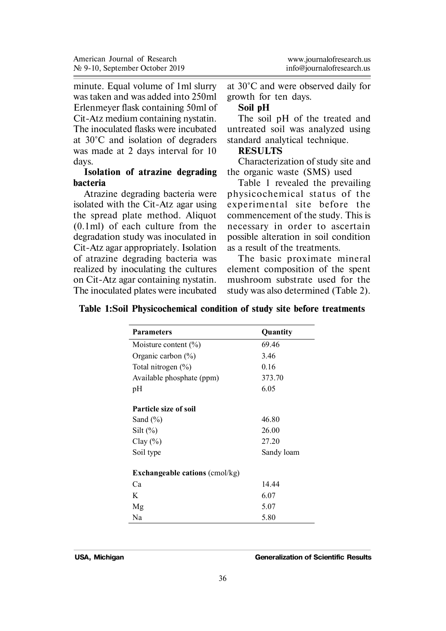minute. Equal volume of 1ml slurry was taken and was added into 250ml Erlenmeyer flask containing 50ml of Cit-Atz medium containing nystatin. The inoculated flasks were incubated at 30°C and isolation of degraders was made at 2 days interval for 10 days.

### **Isolation of atrazine degrading bacteria**

Atrazine degrading bacteria were isolated with the Cit-Atz agar using the spread plate method. Aliquot (0.1ml) of each culture from the degradation study was inoculated in Cit-Atz agar appropriately. Isolation of atrazine degrading bacteria was realized by inoculating the cultures on Cit-Atz agar containing nystatin. The inoculated plates were incubated

at 30°C and were observed daily for growth for ten days.

#### **Soil pH**

The soil pH of the treated and untreated soil was analyzed using standard analytical technique.

### **RESULTS**

Characterization of study site and the organic waste (SMS) used

Table 1 revealed the prevailing physicochemical status of the experimental site before the commencement of the study. This is necessary in order to ascertain possible alteration in soil condition as a result of the treatments.

The basic proximate mineral element composition of the spent mushroom substrate used for the study was also determined (Table 2).

|  |  | Table 1:Soil Physicochemical condition of study site before treatments |  |  |  |  |  |  |
|--|--|------------------------------------------------------------------------|--|--|--|--|--|--|
|--|--|------------------------------------------------------------------------|--|--|--|--|--|--|

| <b>Parameters</b>                     | Quantity   |
|---------------------------------------|------------|
| Moisture content $(\% )$              | 69.46      |
| Organic carbon $(\%)$                 | 3.46       |
| Total nitrogen $(\% )$                | 0.16       |
| Available phosphate (ppm)             | 373.70     |
| pН                                    | 6.05       |
| Particle size of soil                 |            |
| Sand $(\% )$                          | 46.80      |
| $Silt (\%)$                           | 26.00      |
| Clay $(\% )$                          | 27.20      |
| Soil type                             | Sandy loam |
| <b>Exchangeable cations (cmol/kg)</b> |            |
| Ca                                    | 14.44      |
| K                                     | 6.07       |
| Mg                                    | 5.07       |
| Na                                    | 5.80       |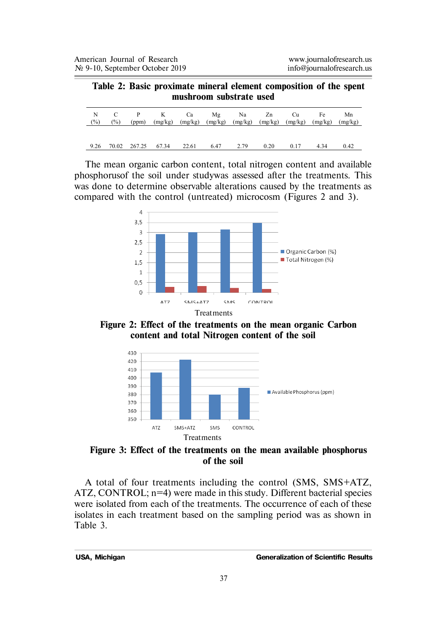#### **Table 2: Basic proximate mineral element composition of the spent mushroom substrate used**

| N<br>(%) | $(\%)$ |              | C P K Ca Mg Na Zn Cu<br>(ppm) (mg/kg) (mg/kg) (mg/kg) (mg/kg) (mg/kg) (mg/kg) (mg/kg) (mg/kg) |       |           |      |      | Fe   | Mn   |
|----------|--------|--------------|-----------------------------------------------------------------------------------------------|-------|-----------|------|------|------|------|
| 9.26     |        | 70.02 267.25 | 67.34                                                                                         | 22.61 | 6.47 2.79 | 0.20 | 0.17 | 4.34 | 0.42 |

The mean organic carbon content, total nitrogen content and available phosphorusof the soil under studywas assessed after the treatments. This was done to determine observable alterations caused by the treatments as compared with the control (untreated) microcosm (Figures 2 and 3).



**Figure 2: Effect of the treatments on the mean organic Carbon content and total Nitrogen content of the soil**



**Figure 3: Effect of the treatments on the mean available phosphorus of the soil**

A total of four treatments including the control (SMS, SMS+ATZ, ATZ, CONTROL; n=4) were made in this study. Different bacterial species were isolated from each of the treatments. The occurrence of each of these isolates in each treatment based on the sampling period was as shown in Table 3.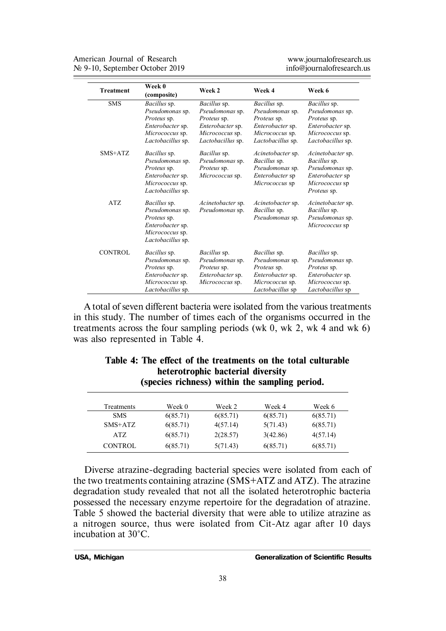No 9-10, September October 2019 American Journal of Research

www.journalofresearch.us<br>info@iournalofresearch.us

| <b>Treatment</b> | Week 0<br>(composite)                                                                                      | Week 2                                                                                                     | Week 4                                                                                                     | Week 6                                                                                                     |
|------------------|------------------------------------------------------------------------------------------------------------|------------------------------------------------------------------------------------------------------------|------------------------------------------------------------------------------------------------------------|------------------------------------------------------------------------------------------------------------|
| <b>SMS</b>       | Bacillus sp.<br>Pseudomonas sp.<br>Proteus sp.<br>Enterobacter sp.<br>Micrococcus sp.<br>Lactobacillus sp. | Bacillus sp.<br>Pseudomonas sp.<br>Proteus sp.<br>Enterobacter sp.<br>Micrococcus sp.<br>Lactobacillus sp. | Bacillus sp.<br>Pseudomonas sp.<br>Proteus sp.<br>Enterobacter sp.<br>Micrococcus sp.<br>Lactobacillus sp. | Bacillus sp.<br>Pseudomonas sp.<br>Proteus sp.<br>Enterobacter sp.<br>Micrococcus sp.<br>Lactobacillus sp. |
| $SMS+ATZ$        | Bacillus sp.<br>Pseudomonas sp.<br>Proteus sp.<br>Enterobacter sp.<br>Micrococcus sp.<br>Lactobacillus sp. | Bacillus sp.<br>Pseudomonas sp.<br>Proteus sp.<br>Micrococcus sp.                                          | Acinetobacter sp.<br>Bacillus sp.<br>Pseudomonas sp.<br>Enterobacter sp<br>Micrococcus sp                  | Acinetobacter sp.<br>Bacillus sp.<br>Pseudomonas sp.<br>Enterobacter sp<br>Micrococcus sp<br>Proteus sp.   |
| ATZ              | Bacillus sp.<br>Pseudomonas sp.<br>Proteus sp.<br>Enterobacter sp.<br>Micrococcus sp.<br>Lactobacillus sp. | Acinetobacter sp.<br>Pseudomonas sp.                                                                       | Acinetobacter sp.<br>Bacillus sp.<br>Pseudomonas sp.                                                       | Acinetobacter sp.<br>Bacillus sp.<br>Pseudomonas sp.<br>Micrococcus sp                                     |
| CONTROL          | Bacillus sp.<br>Pseudomonas sp.<br>Proteus sp.<br>Enterobacter sp.<br>Micrococcus sp.<br>Lactobacillus sp. | Bacillus sp.<br>Pseudomonas sp.<br>Proteus sp.<br>Enterobacter sp.<br>Micrococcus sp.                      | Bacillus sp.<br>Pseudomonas sp.<br>Proteus sp.<br>Enterobacter sp.<br>Micrococcus sp.<br>Lactobacillus sp  | Bacillus sp.<br>Pseudomonas sp.<br>Proteus sp.<br>Enterobacter sp.<br>Micrococcus sp.<br>Lactobacillus sp  |

A total of seven different bacteria were isolated from the various treatments in this study. The number of times each of the organisms occurred in the treatments across the four sampling periods (wk 0, wk 2, wk 4 and wk 6) was also represented in Table 4.

| heterotrophic bacterial diversity<br>(species richness) within the sampling period. |          |          |          |          |  |  |  |
|-------------------------------------------------------------------------------------|----------|----------|----------|----------|--|--|--|
| Treatments                                                                          | Week 0   | Week 2   | Week 4   | Week 6   |  |  |  |
| <b>SMS</b>                                                                          | 6(85.71) | 6(85.71) | 6(85.71) | 6(85.71) |  |  |  |
| SMS+ATZ                                                                             | 6(85.71) | 4(57.14) | 5(71.43) | 6(85.71) |  |  |  |
| ATZ                                                                                 | 6(85.71) | 2(28.57) | 3(42.86) | 4(57.14) |  |  |  |
| <b>CONTROL</b>                                                                      | 6(85.71) | 5(71.43) | 6(85.71) | 6(85.71) |  |  |  |

| Table 4: The effect of the treatments on the total culturable |
|---------------------------------------------------------------|
| heterotrophic bacterial diversity                             |
| (species richness) within the sampling period.                |

Diverse atrazine-degrading bacterial species were isolated from each of the two treatments containing atrazine (SMS+ATZ and ATZ). The atrazine degradation study revealed that not all the isolated heterotrophic bacteria possessed the necessary enzyme repertoire for the degradation of atrazine. Table 5 showed the bacterial diversity that were able to utilize atrazine as a nitrogen source, thus were isolated from Cit-Atz agar after 10 days incubation at 30°C.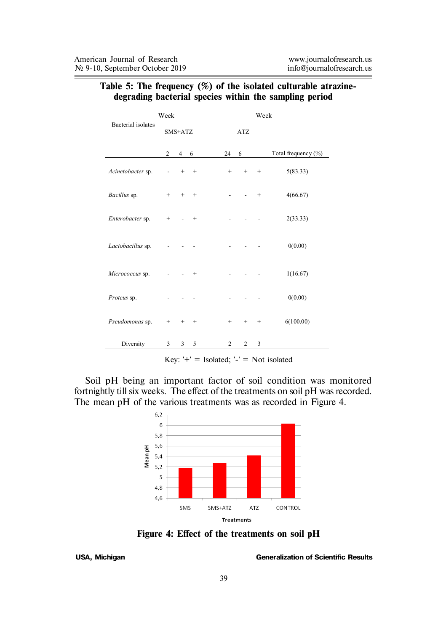|                           | Week              |                |        |                |                   | Week              |                     |
|---------------------------|-------------------|----------------|--------|----------------|-------------------|-------------------|---------------------|
| <b>Bacterial</b> isolates |                   | SMS+ATZ        |        |                | <b>ATZ</b>        |                   |                     |
|                           | $\overline{2}$    | $\overline{4}$ | 6      | 24             | 6                 |                   | Total frequency (%) |
| Acinetobacter sp.         |                   | $^{+}$         | $^{+}$ | $+$            | $^{+}$            | $^{+}$            | 5(83.33)            |
| Bacillus sp.              | $^{+}$            | $^{+}$         | $^{+}$ |                |                   | $^{+}$            | 4(66.67)            |
| Enterobacter sp.          | $^{+}$            |                | $^{+}$ |                |                   |                   | 2(33.33)            |
| Lactobacillus sp.         |                   |                |        |                |                   |                   | 0(0.00)             |
| Micrococcus sp.           |                   |                | $^{+}$ |                |                   |                   | 1(16.67)            |
| Proteus sp.               |                   |                |        |                |                   |                   | 0(0.00)             |
| Pseudomonas sp.           | $\qquad \qquad +$ | $^{+}$         | $^{+}$ | $\! +$         | $\qquad \qquad +$ | $\qquad \qquad +$ | 6(100.00)           |
| Diversity                 | 3                 | 3              | 5      | $\overline{c}$ | 2                 | 3                 |                     |

### **Table 5: The frequency (%) of the isolated culturable atrazinedegrading bacterial species within the sampling period**

Key:  $\dot{+}$  = Isolated;  $\dot{-}$  = Not isolated

Soil pH being an important factor of soil condition was monitored fortnightly till six weeks. The effect of the treatments on soil pH was recorded. The mean pH of the various treatments was as recorded in Figure 4.



**Figure 4: Effect of the treatments on soil pH**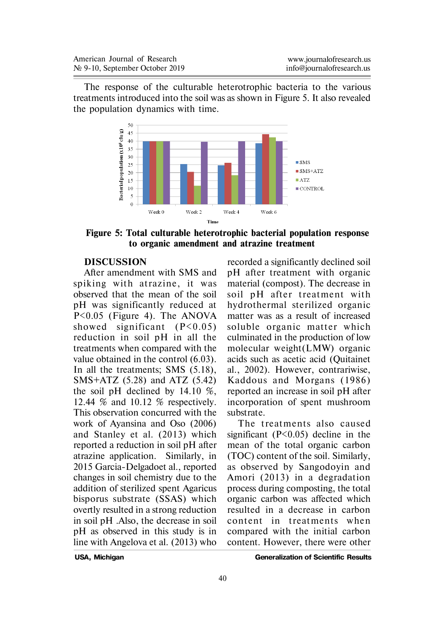The response of the culturable heterotrophic bacteria to the various treatments introduced into the soil was as shown in Figure 5. It also revealed the population dynamics with time.



**Figure 5: Total culturable heterotrophic bacterial population response to organic amendment and atrazine treatment**

### **DISCUSSION**

After amendment with SMS and spiking with atrazine, it was observed that the mean of the soil pH was significantly reduced at P<0.05 (Figure 4). The ANOVA showed significant  $(P<0.05)$ reduction in soil pH in all the treatments when compared with the value obtained in the control (6.03). In all the treatments; SMS (5.18), SMS+ATZ (5.28) and ATZ (5.42) the soil pH declined by 14.10 %, 12.44 % and 10.12 % respectively. This observation concurred with the work of Ayansina and Oso (2006) and Stanley et al. (2013) which reported a reduction in soil pH after atrazine application. Similarly, in 2015 Garcia-Delgadoet al., reported changes in soil chemistry due to the addition of sterilized spent Agaricus bisporus substrate (SSAS) which overtly resulted in a strong reduction in soil pH .Also, the decrease in soil pH as observed in this study is in line with Angelova et al. (2013) who

recorded a significantly declined soil pH after treatment with organic material (compost). The decrease in soil pH after treatment with hydrothermal sterilized organic matter was as a result of increased soluble organic matter which culminated in the production of low molecular weight(LMW) organic acids such as acetic acid (Quitainet al., 2002). However, contrariwise, Kaddous and Morgans (1986) reported an increase in soil pH after incorporation of spent mushroom substrate.

The treatments also caused significant  $(P<0.05)$  decline in the mean of the total organic carbon (TOC) content of the soil. Similarly, as observed by Sangodoyin and Amori (2013) in a degradation process during composting, the total organic carbon was affected which resulted in a decrease in carbon content in treatments when compared with the initial carbon content. However, there were other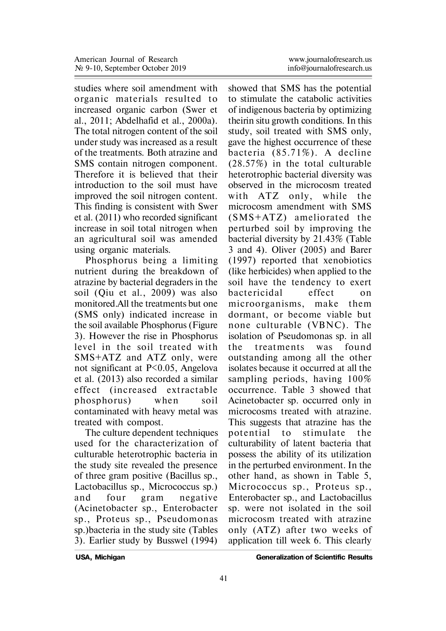studies where soil amendment with organic materials resulted to increased organic carbon (Swer et al., 2011; Abdelhafid et al., 2000a). The total nitrogen content of the soil under study was increased as a result of the treatments. Both atrazine and SMS contain nitrogen component. Therefore it is believed that their introduction to the soil must have improved the soil nitrogen content. This finding is consistent with Swer et al. (2011) who recorded significant increase in soil total nitrogen when an agricultural soil was amended using organic materials.

Phosphorus being a limiting nutrient during the breakdown of atrazine by bacterial degraders in the soil (Qiu et al., 2009) was also monitored.All the treatments but one (SMS only) indicated increase in the soil available Phosphorus (Figure 3). However the rise in Phosphorus level in the soil treated with SMS+ATZ and ATZ only, were not significant at P<0.05, Angelova et al. (2013) also recorded a similar effect (increased extractable phosphorus) when soil contaminated with heavy metal was treated with compost.

The culture dependent techniques used for the characterization of culturable heterotrophic bacteria in the study site revealed the presence of three gram positive (Bacillus sp., Lactobacillus sp., Micrococcus sp.) and four gram negative (Acinetobacter sp., Enterobacter sp., Proteus sp., Pseudomonas sp.)bacteria in the study site (Tables 3). Earlier study by Busswel (1994)

showed that SMS has the potential to stimulate the catabolic activities of indigenous bacteria by optimizing theirin situ growth conditions. In this study, soil treated with SMS only, gave the highest occurrence of these bacteria (85.71%). A decline (28.57%) in the total culturable heterotrophic bacterial diversity was observed in the microcosm treated with ATZ only, while the microcosm amendment with SMS (SMS+ATZ) ameliorated the perturbed soil by improving the bacterial diversity by 21.43% (Table 3 and 4). Oliver (2005) and Barer (1997) reported that xenobiotics (like herbicides) when applied to the soil have the tendency to exert bactericidal e ffect on microorganisms, make them dormant, or become viable but none culturable (VBNC). The isolation of Pseudomonas sp. in all the treatments was found outstanding among all the other isolates because it occurred at all the sampling periods, having 100% occurrence. Table 3 showed that Acinetobacter sp. occurred only in microcosms treated with atrazine. This suggests that atrazine has the potential to stimulate the culturability of latent bacteria that possess the ability of its utilization in the perturbed environment. In the other hand, as shown in Table 5, Micrococcus sp., Proteus sp., Enterobacter sp., and Lactobacillus sp. were not isolated in the soil microcosm treated with atrazine only (ATZ) after two weeks of application till week 6. This clearly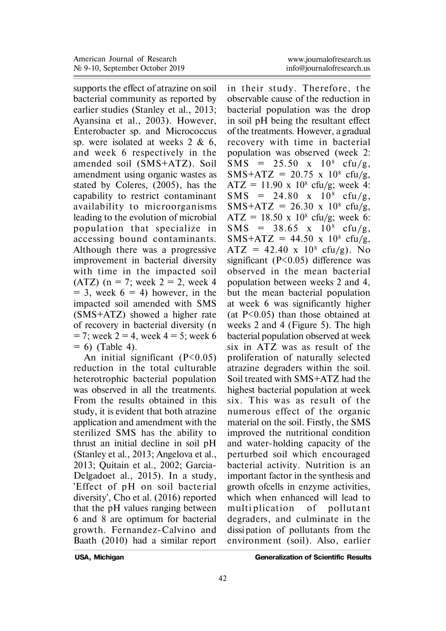supports the effect of atrazine on soil bacterial community as reported by earlier studies (Stanley et al., 2013; Ayansina et al., 2003). However, Enterobacter sp. and Micrococcus sp. were isolated at weeks 2 & 6, and week 6 respectively in the amended soil (SMS+ATZ). Soil amendment using organic wastes as stated by Coleres, (2005), has the capability to restrict contaminant availability to microorganisms leading to the evolution of microbial population that specialize in accessing bound contaminants. Although there was a progressive improvement in bacterial diversity with time in the impacted soil (ATZ) ( $n = 7$ ; week  $2 = 2$ , week 4  $= 3$ , week  $6 = 4$ ) however, in the impacted soil amended with SMS (SMS+ATZ) showed a higher rate of recovery in bacterial diversity (n  $= 7$ ; week  $2 = 4$ , week  $4 = 5$ ; week 6  $= 6$ ) (Table 4).

An initial significant  $(P<0.05)$ reduction in the total culturable heterotrophic bacterial population was observed in all the treatments. From the results obtained in this study, it is evident that both atrazine application and amendment with the sterilized SMS has the ability to thrust an initial decline in soil pH (Stanley et al., 2013; Angelova et al., 2013; Quitain et al., 2002; Garcia-Delgadoet al., 2015). In a study, 'Effect of pH on soil bacterial diversity', Cho et al. (2016) reported that the pH values ranging between 6 and 8 are optimum for bacterial growth. Fernandez-Calvino and Baath (2010) had a similar report

www.journalofresearch.us

in their study. Therefore, the observable cause of the reduction in bacterial population was the drop in soil pH being the resultant effect of the treatments. However, a gradual recovery with time in bacterial population was observed (week 2:  $SMS = 25.50 \times 10^8 \text{ cft}(g)$  $SMS+ATZ = 20.75$  x 10<sup>8</sup> cfu/g,  $ATZ = 11.90 \times 10^8 \text{ cfty/g; week 4:}$  $SMS = 24.80 \times 10^8 \text{ cfty/g},$  $SMS+ATZ = 26.30 \times 10^8 \text{ cftu/g},$  $ATZ = 18.50 \times 10^8 \text{ cfty/g; week 6:}$  $SMS = 38.65$  x  $10^8$  cfu/g,  $SMS+ATZ = 44.50 \times 10^8 \text{ cfu/g},$  $ATZ = 42.40 \times 10^8 \text{ cfu/g}.$  No significant (P<0.05) difference was observed in the mean bacterial population between weeks 2 and 4, but the mean bacterial population at week 6 was significantly higher (at P<0.05) than those obtained at weeks 2 and 4 (Figure 5). The high bacterial population observed at week six in ATZ was as result of the proliferation of naturally selected atrazine degraders within the soil. Soil treated with SMS+ATZ had the highest bacterial population at week six. This was as result of the numerous effect of the organic material on the soil. Firstly, the SMS improved the nutritional condition and water-holding capacity of the perturbed soil which encouraged bacterial activity. Nutrition is an important factor in the synthesis and growth ofcells in enzyme activities, which when enhanced will lead to multiplication of pollutant degraders, and culminate in the dissi pation of pollutants from the environment (soil). Also, earlier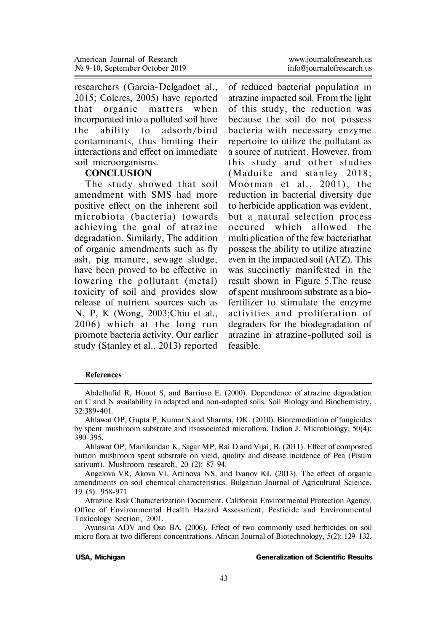researchers (Garcia-Delgadoet al., 2015; Coleres, 2005) have reported that organic matters when incorporated into a polluted soil have the ability to adsorb/bind contaminants, thus limiting their interactions and effect on immediate soil microorganisms.

#### **CONCLUSION**

The study showed that soil amendment with SMS had more positive effect on the inherent soil microbiota (bacteria) towards achieving the goal of atrazine degradation. Similarly, The addition of organic amendments such as fly ash, pig manure, sewage sludge, have been proved to be effective in lowering the pollutant (metal) toxicity of soil and provides slow release of nutrient sources such as N, P, K (Wong, 2003;Chiu et al., 2006) which at the long run promote bacteria activity. Our earlier study (Stanley et al., 2013) reported www.journalofresearch.us

of reduced bacterial population in atrazine impacted soil. From the light of this study, the reduction was because the soil do not possess bacteria with necessary enzyme repertoire to utilize the pollutant as a source of nutrient. However, from this study and other studies (Maduike and stanley 2018; Moorman et al., 2001), the reduction in bacterial diversity due to herbicide application was evident, but a natural selection process occured which allowed the multiplication of the few bacteriathat possess the ability to utilize atrazine even in the impacted soil (ATZ). This was succinctly manifested in the result shown in Figure 5.The reuse of spent mushroom substrate as a biofertilizer to stimulate the enzyme activities and proliferation of degraders for the biodegradation of atrazine in atrazine-polluted soil is feasible.

#### **References**

Abdelhafid R, Houot S, and Barriuso E. (2000). Dependence of atrazine degradation on C and N availability in adapted and non-adapted soils. Soil Biology and Biochemistry, 32:389-401.

Ahlawat OP, Gupta P, Kumar S and Sharma, DK. (2010). Bioremediation of fungicides by spent mushroom substrate and itsassociated microflora. Indian J. Microbiology, 50(4): 390-395.

Ahlawat OP, Manikandan K, Sagar MP, Rai D and Vijai, B. (2011). Effect of composted button mushroom spent substrate on yield, quality and disease incidence of Pea (Pisum sativum). Mushroom research, 20 (2): 87-94.

Angelova VR, Akova VI, Artinova NS, and Ivanov KI. (2013). The effect of organic amendments on soil chemical characteristics. Bulgarian Journal of Agricultural Science, 19 (5): 958-971

Atrazine Risk Characterization Document, California Environmental Protection Agency. Office of Environmental Health Hazard Assessment, Pesticide and Environmental Toxicology Section, 2001.

Ayansina ADV and Oso BA. (2006). Effect of two commonly used herbicides on soil micro flora at two different concentrations. African Journal of Biotechnology, 5(2): 129-132.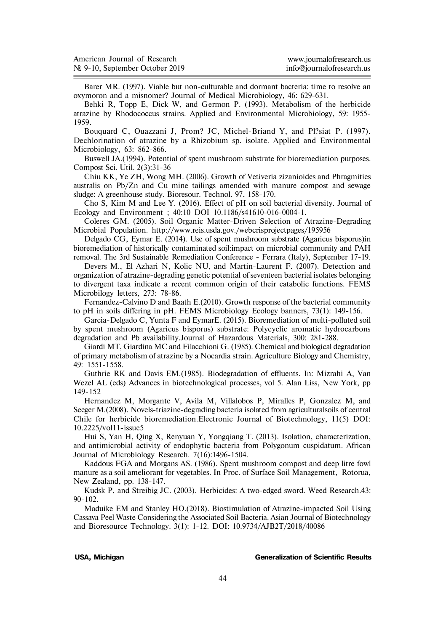| American Journal of Research   | www.journalofresearch.us  |
|--------------------------------|---------------------------|
| № 9-10, September October 2019 | info@iournalofresearch.us |

Barer MR. (1997). Viable but non-culturable and dormant bacteria: time to resolve an oxymoron and a misnomer? Journal of Medical Microbiology, 46: 629-631.

Behki R, Topp E, Dick W, and Germon P. (1993). Metabolism of the herbicide atrazine by Rhodococcus strains. Applied and Environmental Microbiology, 59: 1955- 1959.

Bouquard C, Ouazzani J, Prom? JC, Michel-Briand Y, and Pl?siat P. (1997). Dechlorination of atrazine by a Rhizobium sp. isolate. Applied and Environmental Microbiology, 63: 862-866.

Buswell JA.(1994). Potential of spent mushroom substrate for bioremediation purposes. Compost Sci. Util. 2(3):31-36

Chiu KK, Ye ZH, Wong MH. (2006). Growth of Vetiveria zizanioides and Phragmities australis on Pb/Zn and Cu mine tailings amended with manure compost and sewage sludge: A greenhouse study. Bioresour. Technol. 97, 158-170.

Cho S, Kim M and Lee Y. (2016). Effect of pH on soil bacterial diversity. Journal of Ecology and Environment ; 40:10 DOI 10.1186/s41610-016-0004-1.

Coleres GM. (2005). Soil Organic Matter-Driven Selection of Atrazine-Degrading Microbial Population. http://www.reis.usda.gov./webcrisprojectpages/195956

Delgado CG, Eymar E. (2014). Use of spent mushroom substrate (Agaricus bisporus)in bioremediation of historically contaminated soil:impact on microbial community and PAH removal. The 3rd Sustainable Remediation Conference - Ferrara (Italy), September 17-19.

Devers M., El Azhari N, Kolic NU, and Martin-Laurent F. (2007). Detection and organization of atrazine-degrading genetic potential of seventeen bacterial isolates belonging to divergent taxa indicate a recent common origin of their catabolic functions. FEMS Microbilogy letters, 273: 78-86.

Fernandez-Calvino D and Baath E.(2010). Growth response of the bacterial community to pH in soils differing in pH. FEMS Microbiology Ecology banners, 73(1): 149-156.

Garcia-Delgado C, Yunta F and EymarE. (2015). Bioremediation of multi-polluted soil by spent mushroom (Agaricus bisporus) substrate: Polycyclic aromatic hydrocarbons degradation and Pb availability.Journal of Hazardous Materials, 300: 281-288.

Giardi MT, Giardina MC and Filacchioni G. (1985). Chemical and biological degradation of primary metabolism of atrazine by a Nocardia strain. Agriculture Biology and Chemistry, 49: 1551-1558.

Guthrie RK and Davis EM.(1985). Biodegradation of effluents. In: Mizrahi A, Van Wezel AL (eds) Advances in biotechnological processes, vol 5. Alan Liss, New York, pp 149-152

Hernandez M, Morgante V, Avila M, Villalobos P, Miralles P, Gonzalez M, and Seeger M.(2008). Novels-triazine-degrading bacteria isolated from agriculturalsoils of central Chile for herbicide bioremediation.Electronic Journal of Biotechnology, 11(5) DOI: 10.2225/vol11-issue5

Hui S, Yan H, Qing X, Renyuan Y, Yongqiang T. (2013). Isolation, characterization, and antimicrobial activity of endophytic bacteria from Polygonum cuspidatum. African Journal of Microbiology Research. 7(16):1496-1504.

Kaddous FGA and Morgans AS. (1986). Spent mushroom compost and deep litre fowl manure as a soil ameliorant for vegetables. In Proc. of Surface Soil Management, Rotorua, New Zealand, pp. 138-147.

Kudsk P, and Streibig JC. (2003). Herbicides: A two-edged sword. Weed Research.43: 90-102.

Maduike EM and Stanley HO.(2018). Biostimulation of Atrazine-impacted Soil Using Cassava Peel Waste Considering the Associated Soil Bacteria. Asian Journal of Biotechnology and Bioresource Technology. 3(1): 1-12. DOI: 10.9734/AJB2T/2018/40086